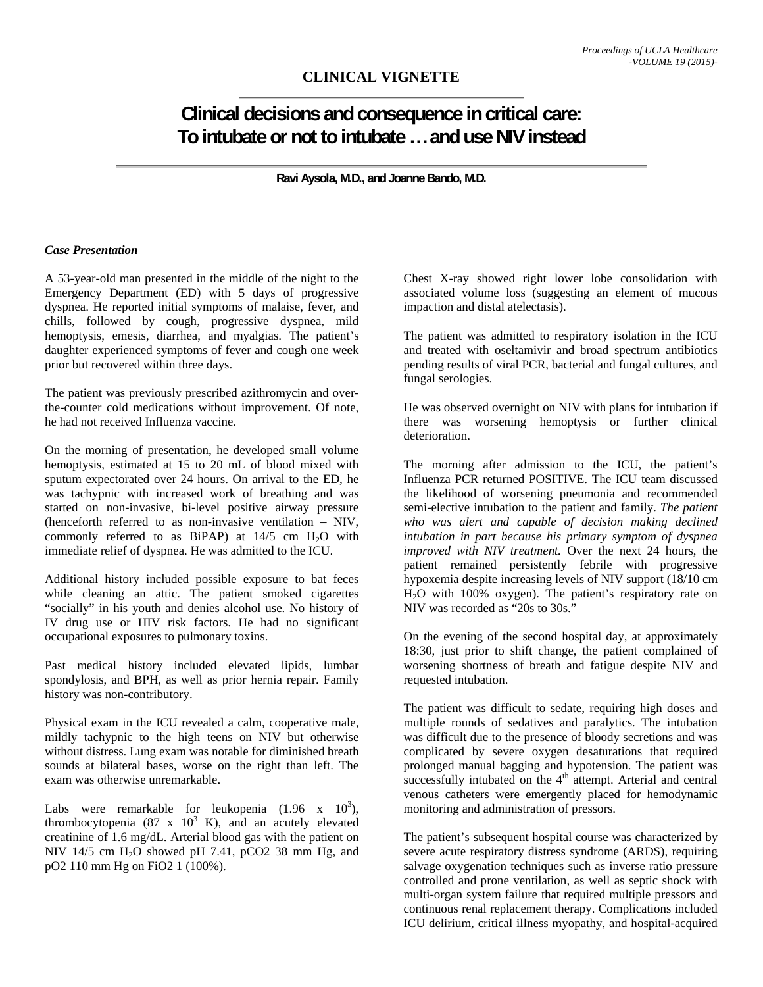## **Clinical decisions and consequence in critical care: To intubate or not to intubate … and use NIV instead**

**Ravi Aysola, M.D., and Joanne Bando, M.D.** 

## *Case Presentation*

A 53-year-old man presented in the middle of the night to the Emergency Department (ED) with 5 days of progressive dyspnea. He reported initial symptoms of malaise, fever, and chills, followed by cough, progressive dyspnea, mild hemoptysis, emesis, diarrhea, and myalgias. The patient's daughter experienced symptoms of fever and cough one week prior but recovered within three days.

The patient was previously prescribed azithromycin and overthe-counter cold medications without improvement. Of note, he had not received Influenza vaccine.

On the morning of presentation, he developed small volume hemoptysis, estimated at 15 to 20 mL of blood mixed with sputum expectorated over 24 hours. On arrival to the ED, he was tachypnic with increased work of breathing and was started on non-invasive, bi-level positive airway pressure (henceforth referred to as non-invasive ventilation – NIV, commonly referred to as  $BiPAP$ ) at  $14/5$  cm  $H<sub>2</sub>O$  with immediate relief of dyspnea. He was admitted to the ICU.

Additional history included possible exposure to bat feces while cleaning an attic. The patient smoked cigarettes "socially" in his youth and denies alcohol use. No history of IV drug use or HIV risk factors. He had no significant occupational exposures to pulmonary toxins.

Past medical history included elevated lipids, lumbar spondylosis, and BPH, as well as prior hernia repair. Family history was non-contributory.

Physical exam in the ICU revealed a calm, cooperative male, mildly tachypnic to the high teens on NIV but otherwise without distress. Lung exam was notable for diminished breath sounds at bilateral bases, worse on the right than left. The exam was otherwise unremarkable.

Labs were remarkable for leukopenia  $(1.96 \times 10^3)$ , thrombocytopenia  $(87 \times 10^3 \text{ K})$ , and an acutely elevated creatinine of 1.6 mg/dL. Arterial blood gas with the patient on NIV 14/5 cm  $H<sub>2</sub>O$  showed pH 7.41, pCO2 38 mm Hg, and pO2 110 mm Hg on FiO2 1 (100%).

Chest X-ray showed right lower lobe consolidation with associated volume loss (suggesting an element of mucous impaction and distal atelectasis).

The patient was admitted to respiratory isolation in the ICU and treated with oseltamivir and broad spectrum antibiotics pending results of viral PCR, bacterial and fungal cultures, and fungal serologies.

He was observed overnight on NIV with plans for intubation if there was worsening hemoptysis or further clinical deterioration.

The morning after admission to the ICU, the patient's Influenza PCR returned POSITIVE. The ICU team discussed the likelihood of worsening pneumonia and recommended semi-elective intubation to the patient and family. *The patient who was alert and capable of decision making declined intubation in part because his primary symptom of dyspnea improved with NIV treatment.* Over the next 24 hours, the patient remained persistently febrile with progressive hypoxemia despite increasing levels of NIV support (18/10 cm H2O with 100% oxygen). The patient's respiratory rate on NIV was recorded as "20s to 30s."

On the evening of the second hospital day, at approximately 18:30, just prior to shift change, the patient complained of worsening shortness of breath and fatigue despite NIV and requested intubation.

The patient was difficult to sedate, requiring high doses and multiple rounds of sedatives and paralytics. The intubation was difficult due to the presence of bloody secretions and was complicated by severe oxygen desaturations that required prolonged manual bagging and hypotension. The patient was successfully intubated on the  $4<sup>th</sup>$  attempt. Arterial and central venous catheters were emergently placed for hemodynamic monitoring and administration of pressors.

The patient's subsequent hospital course was characterized by severe acute respiratory distress syndrome (ARDS), requiring salvage oxygenation techniques such as inverse ratio pressure controlled and prone ventilation, as well as septic shock with multi-organ system failure that required multiple pressors and continuous renal replacement therapy. Complications included ICU delirium, critical illness myopathy, and hospital-acquired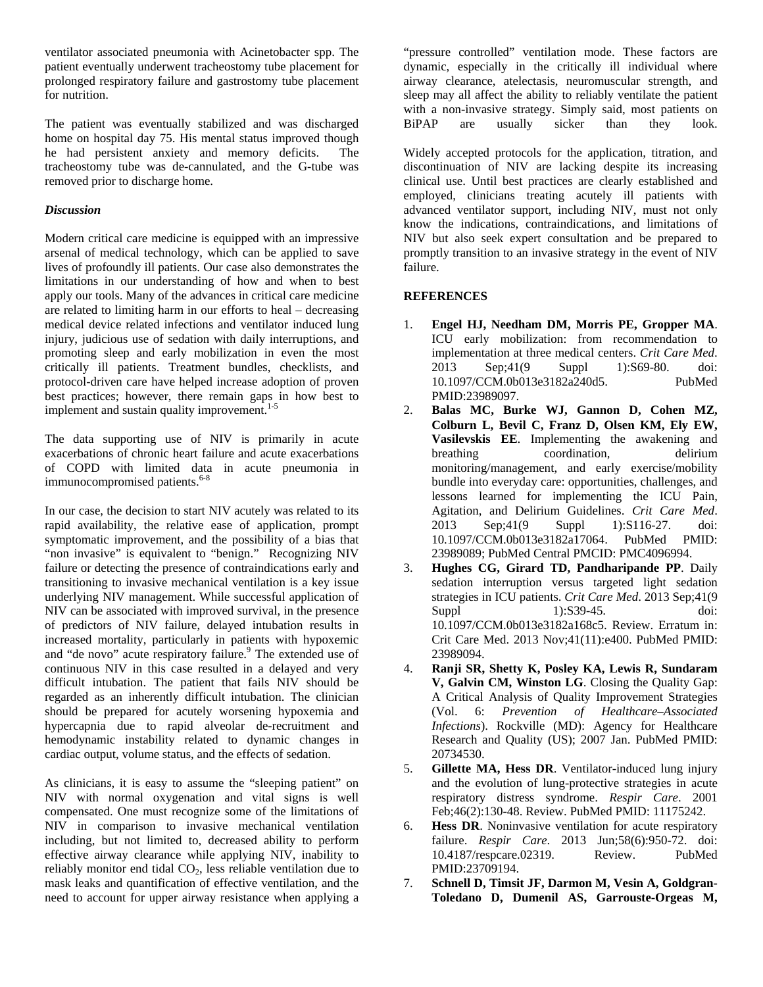ventilator associated pneumonia with Acinetobacter spp. The patient eventually underwent tracheostomy tube placement for prolonged respiratory failure and gastrostomy tube placement for nutrition.

The patient was eventually stabilized and was discharged home on hospital day 75. His mental status improved though he had persistent anxiety and memory deficits. The tracheostomy tube was de-cannulated, and the G-tube was removed prior to discharge home.

## *Discussion*

Modern critical care medicine is equipped with an impressive arsenal of medical technology, which can be applied to save lives of profoundly ill patients. Our case also demonstrates the limitations in our understanding of how and when to best apply our tools. Many of the advances in critical care medicine are related to limiting harm in our efforts to heal – decreasing medical device related infections and ventilator induced lung injury, judicious use of sedation with daily interruptions, and promoting sleep and early mobilization in even the most critically ill patients. Treatment bundles, checklists, and protocol-driven care have helped increase adoption of proven best practices; however, there remain gaps in how best to implement and sustain quality improvement.<sup>1-5</sup>

The data supporting use of NIV is primarily in acute exacerbations of chronic heart failure and acute exacerbations of COPD with limited data in acute pneumonia in immunocompromised patients.<sup>6-8</sup>

In our case, the decision to start NIV acutely was related to its rapid availability, the relative ease of application, prompt symptomatic improvement, and the possibility of a bias that "non invasive" is equivalent to "benign." Recognizing NIV failure or detecting the presence of contraindications early and transitioning to invasive mechanical ventilation is a key issue underlying NIV management. While successful application of NIV can be associated with improved survival, in the presence of predictors of NIV failure, delayed intubation results in increased mortality, particularly in patients with hypoxemic and "de novo" acute respiratory failure.<sup>9</sup> The extended use of continuous NIV in this case resulted in a delayed and very difficult intubation. The patient that fails NIV should be regarded as an inherently difficult intubation. The clinician should be prepared for acutely worsening hypoxemia and hypercapnia due to rapid alveolar de-recruitment and hemodynamic instability related to dynamic changes in cardiac output, volume status, and the effects of sedation.

As clinicians, it is easy to assume the "sleeping patient" on NIV with normal oxygenation and vital signs is well compensated. One must recognize some of the limitations of NIV in comparison to invasive mechanical ventilation including, but not limited to, decreased ability to perform effective airway clearance while applying NIV, inability to reliably monitor end tidal CO<sub>2</sub>, less reliable ventilation due to mask leaks and quantification of effective ventilation, and the need to account for upper airway resistance when applying a

"pressure controlled" ventilation mode. These factors are dynamic, especially in the critically ill individual where airway clearance, atelectasis, neuromuscular strength, and sleep may all affect the ability to reliably ventilate the patient with a non-invasive strategy. Simply said, most patients on BiPAP are usually sicker than they look. BiPAP are usually sicker than they look.

Widely accepted protocols for the application, titration, and discontinuation of NIV are lacking despite its increasing clinical use. Until best practices are clearly established and employed, clinicians treating acutely ill patients with advanced ventilator support, including NIV, must not only know the indications, contraindications, and limitations of NIV but also seek expert consultation and be prepared to promptly transition to an invasive strategy in the event of NIV failure.

## **REFERENCES**

- 1. **Engel HJ, Needham DM, Morris PE, Gropper MA**. ICU early mobilization: from recommendation to implementation at three medical centers. *Crit Care Med*. 2013 Sep;41(9 Suppl 1):S69-80. doi: 10.1097/CCM.0b013e3182a240d5. PubMed PMID:23989097.
- 2. **Balas MC, Burke WJ, Gannon D, Cohen MZ, Colburn L, Bevil C, Franz D, Olsen KM, Ely EW, Vasilevskis EE**. Implementing the awakening and breathing coordination, delirium monitoring/management, and early exercise/mobility bundle into everyday care: opportunities, challenges, and lessons learned for implementing the ICU Pain, Agitation, and Delirium Guidelines. *Crit Care Med*. 2013 Sep;41(9 Suppl 1):S116-27. doi: 10.1097/CCM.0b013e3182a17064. PubMed PMID: 23989089; PubMed Central PMCID: PMC4096994.
- 3. **Hughes CG, Girard TD, Pandharipande PP**. Daily sedation interruption versus targeted light sedation strategies in ICU patients. *Crit Care Med*. 2013 Sep;41(9 Suppl 1):S39-45. doi: 10.1097/CCM.0b013e3182a168c5. Review. Erratum in: Crit Care Med. 2013 Nov;41(11):e400. PubMed PMID: 23989094.
- 4. **Ranji SR, Shetty K, Posley KA, Lewis R, Sundaram V, Galvin CM, Winston LG**. Closing the Quality Gap: A Critical Analysis of Quality Improvement Strategies (Vol. 6: *Prevention of Healthcare–Associated Infections*). Rockville (MD): Agency for Healthcare Research and Quality (US); 2007 Jan. PubMed PMID: 20734530.
- 5. **Gillette MA, Hess DR**. Ventilator-induced lung injury and the evolution of lung-protective strategies in acute respiratory distress syndrome. *Respir Care*. 2001 Feb;46(2):130-48. Review. PubMed PMID: 11175242.
- 6. **Hess DR**. Noninvasive ventilation for acute respiratory failure. *Respir Care*. 2013 Jun;58(6):950-72. doi: 10.4187/respcare.02319. Review. PubMed PMID:23709194.
- 7. **Schnell D, Timsit JF, Darmon M, Vesin A, Goldgran-Toledano D, Dumenil AS, Garrouste-Orgeas M,**